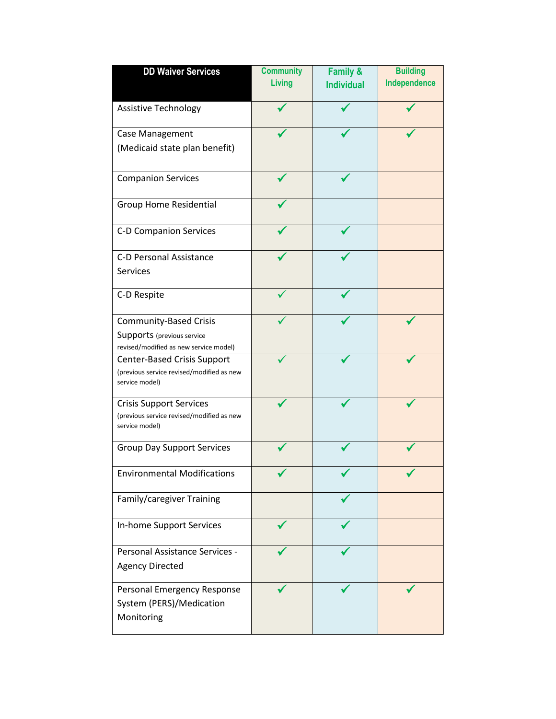| <b>DD Waiver Services</b>                                                                     | <b>Community</b> | <b>Family &amp;</b> | <b>Building</b> |
|-----------------------------------------------------------------------------------------------|------------------|---------------------|-----------------|
|                                                                                               | <b>Living</b>    | <b>Individual</b>   | Independence    |
|                                                                                               |                  |                     |                 |
| <b>Assistive Technology</b>                                                                   |                  |                     |                 |
| Case Management                                                                               |                  |                     |                 |
| (Medicaid state plan benefit)                                                                 |                  |                     |                 |
| <b>Companion Services</b>                                                                     |                  |                     |                 |
| <b>Group Home Residential</b>                                                                 |                  |                     |                 |
| C-D Companion Services                                                                        |                  |                     |                 |
| C-D Personal Assistance                                                                       |                  |                     |                 |
| <b>Services</b>                                                                               |                  |                     |                 |
| C-D Respite                                                                                   |                  |                     |                 |
| <b>Community-Based Crisis</b>                                                                 |                  |                     |                 |
| Supports (previous service                                                                    |                  |                     |                 |
| revised/modified as new service model)                                                        |                  |                     |                 |
| Center-Based Crisis Support<br>(previous service revised/modified as new<br>service model)    |                  |                     |                 |
| <b>Crisis Support Services</b><br>(previous service revised/modified as new<br>service model) |                  |                     |                 |
| <b>Group Day Support Services</b>                                                             |                  |                     |                 |
| <b>Environmental Modifications</b>                                                            |                  |                     |                 |
| Family/caregiver Training                                                                     |                  |                     |                 |
| In-home Support Services                                                                      |                  |                     |                 |
| Personal Assistance Services -<br><b>Agency Directed</b>                                      |                  |                     |                 |
| Personal Emergency Response<br>System (PERS)/Medication<br>Monitoring                         |                  |                     |                 |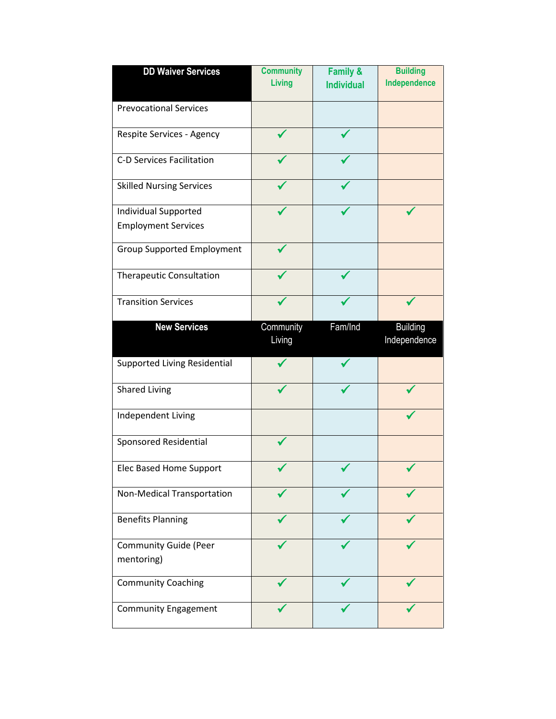| <b>DD Waiver Services</b>           | <b>Community</b> | Family &          | <b>Building</b> |
|-------------------------------------|------------------|-------------------|-----------------|
|                                     | Living           | <b>Individual</b> | Independence    |
|                                     |                  |                   |                 |
| <b>Prevocational Services</b>       |                  |                   |                 |
| Respite Services - Agency           |                  |                   |                 |
| <b>C-D Services Facilitation</b>    |                  |                   |                 |
| <b>Skilled Nursing Services</b>     |                  |                   |                 |
| <b>Individual Supported</b>         |                  |                   |                 |
| <b>Employment Services</b>          |                  |                   |                 |
| <b>Group Supported Employment</b>   |                  |                   |                 |
| <b>Therapeutic Consultation</b>     |                  |                   |                 |
| <b>Transition Services</b>          |                  |                   |                 |
| <b>New Services</b>                 | Community        | Fam/Ind           | <b>Building</b> |
|                                     | Living           |                   | Independence    |
|                                     |                  |                   |                 |
| <b>Supported Living Residential</b> |                  |                   |                 |
| <b>Shared Living</b>                |                  |                   |                 |
| Independent Living                  |                  |                   |                 |
| Sponsored Residential               |                  |                   |                 |
| Elec Based Home Support             |                  |                   |                 |
| Non-Medical Transportation          |                  |                   |                 |
| <b>Benefits Planning</b>            |                  |                   |                 |
| <b>Community Guide (Peer</b>        |                  |                   |                 |
| mentoring)                          |                  |                   |                 |
| <b>Community Coaching</b>           |                  |                   |                 |